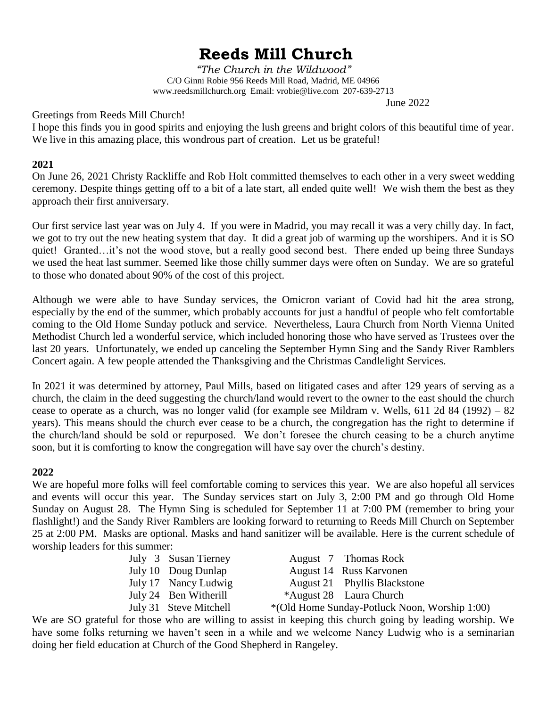# **Reeds Mill Church**

*"The Church in the Wildwood"* C/O Ginni Robie 956 Reeds Mill Road, Madrid, ME 04966 [www.reedsmillchurch.org](http://www.reedsmillchurch.org/) Email: vrobie@live.com 207-639-2713

June 2022

#### Greetings from Reeds Mill Church!

I hope this finds you in good spirits and enjoying the lush greens and bright colors of this beautiful time of year. We live in this amazing place, this wondrous part of creation. Let us be grateful!

#### **2021**

On June 26, 2021 Christy Rackliffe and Rob Holt committed themselves to each other in a very sweet wedding ceremony. Despite things getting off to a bit of a late start, all ended quite well! We wish them the best as they approach their first anniversary.

Our first service last year was on July 4. If you were in Madrid, you may recall it was a very chilly day. In fact, we got to try out the new heating system that day. It did a great job of warming up the worshipers. And it is SO quiet! Granted…it's not the wood stove, but a really good second best. There ended up being three Sundays we used the heat last summer. Seemed like those chilly summer days were often on Sunday. We are so grateful to those who donated about 90% of the cost of this project.

Although we were able to have Sunday services, the Omicron variant of Covid had hit the area strong, especially by the end of the summer, which probably accounts for just a handful of people who felt comfortable coming to the Old Home Sunday potluck and service. Nevertheless, Laura Church from North Vienna United Methodist Church led a wonderful service, which included honoring those who have served as Trustees over the last 20 years. Unfortunately, we ended up canceling the September Hymn Sing and the Sandy River Ramblers Concert again. A few people attended the Thanksgiving and the Christmas Candlelight Services.

In 2021 it was determined by attorney, Paul Mills, based on litigated cases and after 129 years of serving as a church, the claim in the deed suggesting the church/land would revert to the owner to the east should the church cease to operate as a church, was no longer valid (for example see Mildram v. Wells, 611 2d 84 (1992) – 82 years). This means should the church ever cease to be a church, the congregation has the right to determine if the church/land should be sold or repurposed. We don't foresee the church ceasing to be a church anytime soon, but it is comforting to know the congregation will have say over the church's destiny.

### **2022**

We are hopeful more folks will feel comfortable coming to services this year. We are also hopeful all services and events will occur this year. The Sunday services start on July 3, 2:00 PM and go through Old Home Sunday on August 28. The Hymn Sing is scheduled for September 11 at 7:00 PM (remember to bring your flashlight!) and the Sandy River Ramblers are looking forward to returning to Reeds Mill Church on September 25 at 2:00 PM. Masks are optional. Masks and hand sanitizer will be available. Here is the current schedule of worship leaders for this summer:

| July 3 Susan Tierney   | August 7 Thomas Rock                          |  |
|------------------------|-----------------------------------------------|--|
| July 10 Doug Dunlap    | August 14 Russ Karvonen                       |  |
| July 17 Nancy Ludwig   | August 21 Phyllis Blackstone                  |  |
| July 24 Ben Witherill  | *August 28 Laura Church                       |  |
| July 31 Steve Mitchell | *(Old Home Sunday-Potluck Noon, Worship 1:00) |  |

We are SO grateful for those who are willing to assist in keeping this church going by leading worship. We have some folks returning we haven't seen in a while and we welcome Nancy Ludwig who is a seminarian doing her field education at Church of the Good Shepherd in Rangeley.